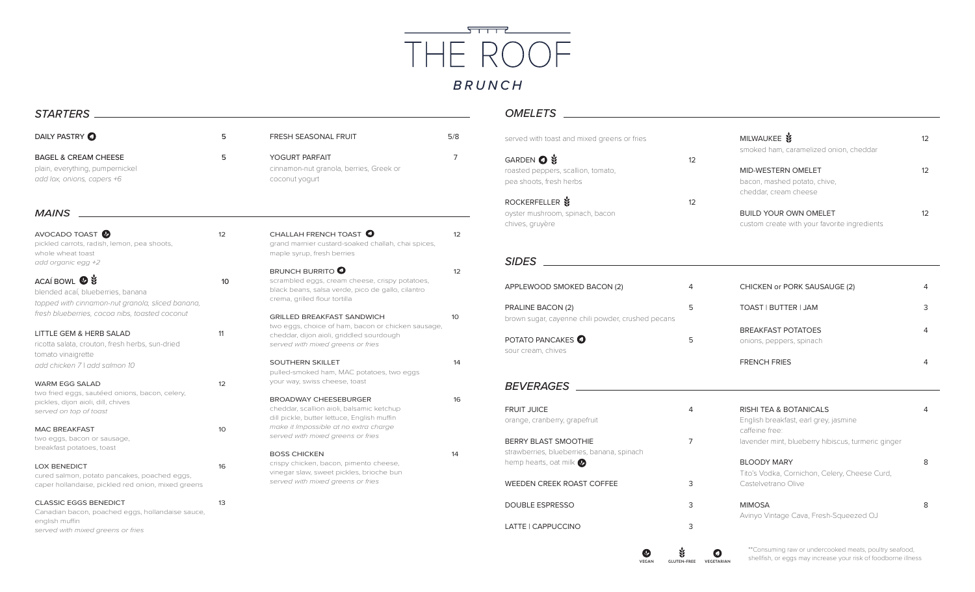

## *STARTERS*

| DAILY PASTRY O                                                                                                                          | 5  | <b>FRESH SEASONAL FRUIT</b>                                                                                                                                              | 5/8 |
|-----------------------------------------------------------------------------------------------------------------------------------------|----|--------------------------------------------------------------------------------------------------------------------------------------------------------------------------|-----|
| <b>BAGEL &amp; CREAM CHEESE</b><br>plain, everything, pumpernickel<br>add lox, onions, capers +6                                        | 5  | YOGURT PARFAIT<br>cinnamon-nut granola, berries, Greek or<br>coconut yogurt                                                                                              |     |
| <b>MAINS</b>                                                                                                                            |    |                                                                                                                                                                          |     |
| AVOCADO TOAST <sup>O</sup><br>pickled carrots, radish, lemon, pea shoots,<br>whole wheat toast<br>add organic egg +2                    | 12 | CHALLAH FRENCH TOAST <sup>O</sup><br>grand marnier custard-soaked challah, chai spices,<br>maple syrup, fresh berries                                                    | 12  |
| ACAÍ BOWL <b>©</b><br>blended acaí, blueberries, banana<br>topped with cinnamon-nut granola, sliced banana,                             | 10 | <b>BRUNCH BURRITO</b><br>scrambled eggs, cream cheese, crispy potatoes,<br>black beans, salsa verde, pico de gallo, cilantro<br>crema, grilled flour tortilla            | 12  |
| fresh blueberries, cocoa nibs, toasted coconut<br>LITTLE GEM & HERB SALAD<br>ricotta salata, crouton, fresh herbs, sun-dried            | 11 | <b>GRILLED BREAKFAST SANDWICH</b><br>two eggs, choice of ham, bacon or chicken sausage,<br>cheddar, dijon aioli, griddled sourdough<br>served with mixed greens or fries | 10  |
| tomato vinaigrette<br>add chicken 7   add salmon 10                                                                                     |    | SOUTHERN SKILLET<br>pulled-smoked ham, MAC potatoes, two eggs<br>your way, swiss cheese, toast                                                                           | 14  |
| <b>WARM EGG SALAD</b><br>two fried eggs, sautéed onions, bacon, celery,<br>pickles, dijon aioli, dill, chives<br>served on top of toast | 12 | <b>BROADWAY CHEESEBURGER</b><br>cheddar, scallion aioli, balsamic ketchup<br>dill pickle, butter lettuce, English muffin                                                 | 16  |
| <b>MAC BREAKFAST</b><br>two eggs, bacon or sausage,<br>breakfast potatoes, toast                                                        | 10 | make it Impossible at no extra charge<br>served with mixed greens or fries<br><b>BOSS CHICKEN</b>                                                                        | 14  |
| <b>LOX BENEDICT</b><br>cured salmon, potato pancakes, poached eggs,<br>caper hollandaise, pickled red onion, mixed greens               | 16 | crispy chicken, bacon, pimento cheese,<br>vinegar slaw, sweet pickles, brioche bun<br>served with mixed greens or fries                                                  |     |
| <b>CLASSIC EGGS BENEDICT</b><br>Canadian bacon, poached eggs, hollandaise sauce,<br>english muffin<br>served with mixed greens or fries | 13 |                                                                                                                                                                          |     |

## *OMELETS*

| served with toast and mixed greens or fries                                        |    | MILWAUKEE                                                                                                             | 12 |
|------------------------------------------------------------------------------------|----|-----------------------------------------------------------------------------------------------------------------------|----|
| GARDEN <b>O</b> 3<br>roasted peppers, scallion, tomato,<br>pea shoots, fresh herbs | 12 | smoked ham, caramelized onion, cheddar<br>MID-WESTERN OMELET<br>bacon, mashed potato, chive,<br>cheddar, cream cheese | 12 |
| ROCKERFELLER \$<br>oyster mushroom, spinach, bacon<br>chives, gruyère              | 12 | <b>BUILD YOUR OWN OMELET</b><br>custom create with your favorite ingredients                                          |    |
| <b>SIDES</b>                                                                       |    |                                                                                                                       |    |

| APPLEWOOD SMOKED BACON (2)                                             | 4 | CHICKEN or PORK SAUSAUGE (2)                                                                 |   |
|------------------------------------------------------------------------|---|----------------------------------------------------------------------------------------------|---|
| PRALINE BACON (2)<br>brown sugar, cayenne chili powder, crushed pecans | 5 | TOAST I BUTTER I JAM                                                                         | 3 |
| POTATO PANCAKES<br>sour cream, chives                                  | 5 | <b>BREAKFAST POTATOES</b><br>onions, peppers, spinach                                        | 4 |
|                                                                        |   | <b>FRENCH FRIES</b>                                                                          | 4 |
| <b>BEVERAGES</b>                                                       |   |                                                                                              |   |
| <b>FRUIT JUICE</b><br>orange, cranberry, grapefruit                    | 4 | <b>RISHI TEA &amp; BOTANICALS</b><br>English breakfast, earl grey, jasmine<br>caffeine free: | 4 |
| BERRY BLAST SMOOTHIE<br>strawberries, blueberries, banana, spinach     | 7 | lavender mint, blueberry hibiscus, turmeric ginger                                           |   |
| hemp hearts, oat milk $\bullet$                                        |   | <b>BLOODY MARY</b>                                                                           | 8 |

| <b>BLOODY MARY</b>                            | 8 |
|-----------------------------------------------|---|
| Tito's Vodka, Cornichon, Celery, Cheese Curd, |   |
| Castelvetrano Olive                           |   |

| <b>MIMOSA</b>                          |  |
|----------------------------------------|--|
| Avinyo Vintage Cava, Fresh-Squeezed OJ |  |

WEEDEN CREEK ROAST COFFEE 3

DOUBLE ESPRESSO 3

LATTE | CAPPUCCINO 3

\*\*Consuming raw or undercooked meats, poultry seafood, **S**<br>**SHELLFISH CLUTEN-FREE VEGETARIAN** shellfish, or eggs may increase your risk of foodborne illness **VEGETARIAN**